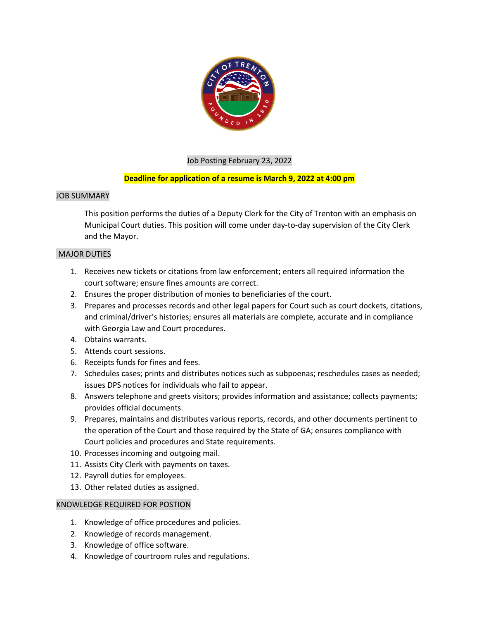

# Job Posting February 23, 2022

# **Deadline for application of a resume is March 9, 2022 at 4:00 pm**

### JOB SUMMARY

This position performs the duties of a Deputy Clerk for the City of Trenton with an emphasis on Municipal Court duties. This position will come under day-to-day supervision of the City Clerk and the Mayor.

## MAJOR DUTIES

- 1. Receives new tickets or citations from law enforcement; enters all required information the court software; ensure fines amounts are correct.
- 2. Ensures the proper distribution of monies to beneficiaries of the court.
- 3. Prepares and processes records and other legal papers for Court such as court dockets, citations, and criminal/driver's histories; ensures all materials are complete, accurate and in compliance with Georgia Law and Court procedures.
- 4. Obtains warrants.
- 5. Attends court sessions.
- 6. Receipts funds for fines and fees.
- 7. Schedules cases; prints and distributes notices such as subpoenas; reschedules cases as needed; issues DPS notices for individuals who fail to appear.
- 8. Answers telephone and greets visitors; provides information and assistance; collects payments; provides official documents.
- 9. Prepares, maintains and distributes various reports, records, and other documents pertinent to the operation of the Court and those required by the State of GA; ensures compliance with Court policies and procedures and State requirements.
- 10. Processes incoming and outgoing mail.
- 11. Assists City Clerk with payments on taxes.
- 12. Payroll duties for employees.
- 13. Other related duties as assigned.

#### KNOWLEDGE REQUIRED FOR POSTION

- 1. Knowledge of office procedures and policies.
- 2. Knowledge of records management.
- 3. Knowledge of office software.
- 4. Knowledge of courtroom rules and regulations.